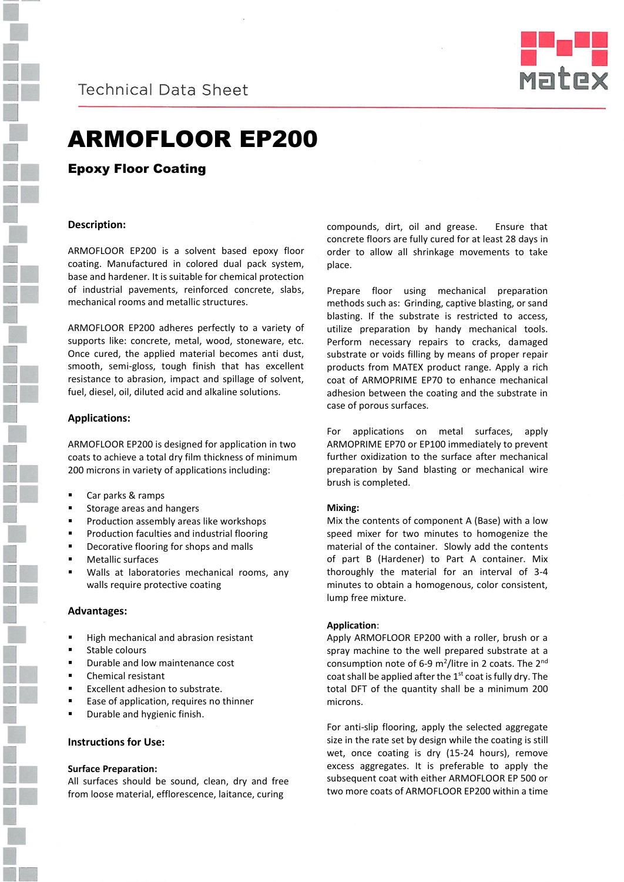

**Technical Data Sheet** 



# ARMOFLOOR EP200

Epoxy Floor Coating

### **Description:**

ARMOFLOOR EP200 is a solvent based epoxy floor coating. Manufactured in colored dual pack system, base and hardener. It is suitable for chemical protection of industrial pavements, reinforced concrete, slabs, mechanical rooms and metallic structures.

ARMOFLOOR EP200 adheres perfectly to a variety of supports like: concrete, metal, wood, stoneware, etc. Once cured, the applied material becomes anti dust, smooth, semi-gloss, tough finish that has excellent resistance to abrasion, impact and spillage of solvent, fuel, diesel, oil, diluted acid and alkaline solutions.

#### **Applications:**

ARMOFLOOR EP200 is designed for application in two coats to achieve a total dry film thickness of minimum 200 microns in variety of applications including:

- Car parks & ramps
- Storage areas and hangers
- Production assembly areas like workshops
- Production faculties and industrial flooring
- Decorative flooring for shops and malls
- Metallic surfaces
- Walls at laboratories mechanical rooms, any walls require protective coating

#### **Advantages:**

- High mechanical and abrasion resistant
- Stable colours
- Durable and low maintenance cost
- Chemical resistant
- Excellent adhesion to substrate.
- Ease of application, requires no thinner
- Durable and hygienic finish.

#### **Instructions for Use:**

#### **Surface Preparation:**

All surfaces should be sound, clean, dry and free from loose material, efflorescence, laitance, curing

compounds, dirt, oil and grease. Ensure that concrete floors are fully cured for at least 28 days in order to allow all shrinkage movements to take place.

Prepare floor using mechanical preparation methods such as: Grinding, captive blasting, or sand blasting. If the substrate is restricted to access, utilize preparation by handy mechanical tools. Perform necessary repairs to cracks, damaged substrate or voids filling by means of proper repair products from MATEX product range. Apply a rich coat of ARMOPRIME EP70 to enhance mechanical adhesion between the coating and the substrate in case of porous surfaces.

For applications on metal surfaces, apply ARMOPRIME EP70 or EP100 immediately to prevent further oxidization to the surface after mechanical preparation by Sand blasting or mechanical wire brush is completed.

#### **Mixing:**

Mix the contents of component A (Base) with a low speed mixer for two minutes to homogenize the material of the container. Slowly add the contents of part B (Hardener) to Part A container. Mix thoroughly the material for an interval of 3-4 minutes to obtain a homogenous, color consistent, lump free mixture.

#### **Application**:

Apply ARMOFLOOR EP200 with a roller, brush or a spray machine to the well prepared substrate at a consumption note of 6-9  $m^2$ /litre in 2 coats. The 2<sup>nd</sup> coat shall be applied after the 1<sup>st</sup> coat is fully dry. The total DFT of the quantity shall be a minimum 200 microns.

For anti-slip flooring, apply the selected aggregate size in the rate set by design while the coating is still wet, once coating is dry (15-24 hours), remove excess aggregates. It is preferable to apply the subsequent coat with either ARMOFLOOR EP 500 or two more coats of ARMOFLOOR EP200 within a time